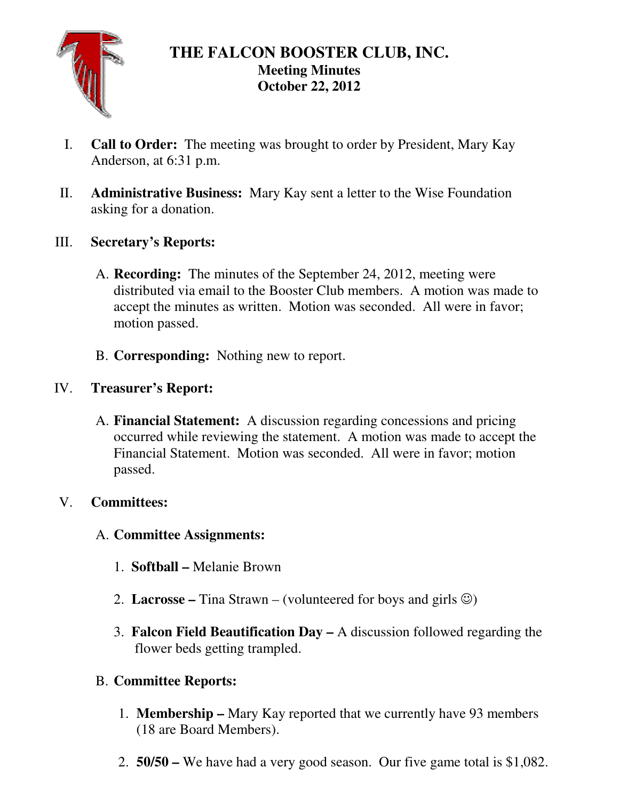

# **THE FALCON BOOSTER CLUB, INC. Meeting Minutes October 22, 2012**

- I. **Call to Order:** The meeting was brought to order by President, Mary Kay Anderson, at 6:31 p.m.
- II. **Administrative Business:** Mary Kay sent a letter to the Wise Foundation asking for a donation.
- III. **Secretary's Reports:** 
	- A. **Recording:** The minutes of the September 24, 2012, meeting were distributed via email to the Booster Club members. A motion was made to accept the minutes as written. Motion was seconded. All were in favor; motion passed.
	- B. **Corresponding:** Nothing new to report.

# IV. **Treasurer's Report:**

A. **Financial Statement:** A discussion regarding concessions and pricing occurred while reviewing the statement. A motion was made to accept the Financial Statement. Motion was seconded. All were in favor; motion passed.

### V. **Committees:**

### A. **Committee Assignments:**

- 1. **Softball** Melanie Brown
- 2. **Lacrosse** Tina Strawn (volunteered for boys and girls  $\circledcirc$ )
- 3. **Falcon Field Beautification Day** A discussion followed regarding the flower beds getting trampled.

### B. **Committee Reports:**

- 1. **Membership** Mary Kay reported that we currently have 93 members (18 are Board Members).
- 2. **50/50** We have had a very good season. Our five game total is \$1,082.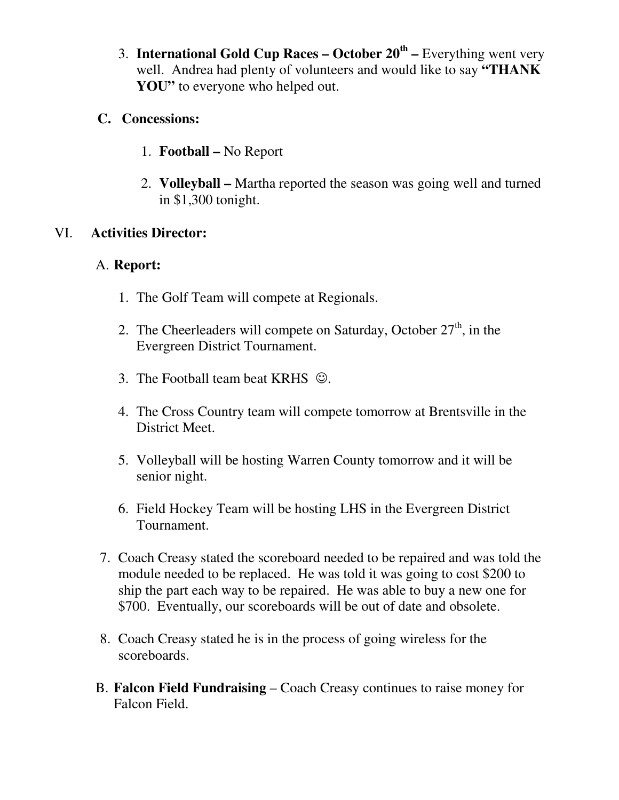3. **International Gold Cup Races – October 20th –** Everything went very well. Andrea had plenty of volunteers and would like to say **"THANK**  YOU" to everyone who helped out.

### **C. Concessions:**

- 1. **Football** No Report
- 2. **Volleyball –** Martha reported the season was going well and turned in \$1,300 tonight.

#### VI. **Activities Director:**

#### A. **Report:**

- 1. The Golf Team will compete at Regionals.
- 2. The Cheerleaders will compete on Saturday, October  $27<sup>th</sup>$ , in the Evergreen District Tournament.
- 3. The Football team beat KRHS  $\odot$ .
- 4. The Cross Country team will compete tomorrow at Brentsville in the District Meet.
- 5. Volleyball will be hosting Warren County tomorrow and it will be senior night.
- 6. Field Hockey Team will be hosting LHS in the Evergreen District Tournament.
- 7. Coach Creasy stated the scoreboard needed to be repaired and was told the module needed to be replaced. He was told it was going to cost \$200 to ship the part each way to be repaired. He was able to buy a new one for \$700. Eventually, our scoreboards will be out of date and obsolete.
- 8. Coach Creasy stated he is in the process of going wireless for the scoreboards.
- B. **Falcon Field Fundraising** Coach Creasy continues to raise money for Falcon Field.